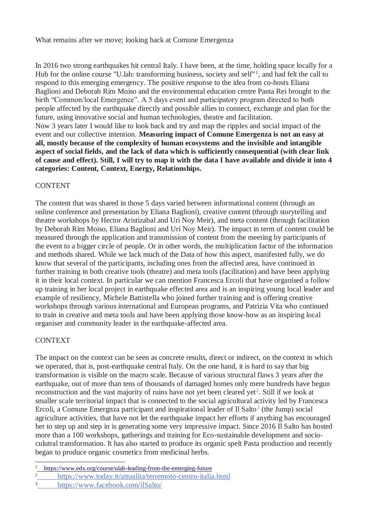What remains after we move; looking back at Comune Emergenza

In 2016 two strong earthquakes hit central Italy. I have been, at the time, holding space locally for a Hub for the online course "U.lab: transforming business, society and self"<sup>1</sup>, and had felt the call to respond to this emerging emergency. The positive response to the idea from co-hosts Eliana Baglioni and Deborah Rim Moiso and the environmental education centre Panta Rei brought to the birth "Common/local Emergence". A 5 days event and participatory program directed to both people affected by the earthquake directly and possible allies to connect, exchange and plan for the future, using innovative social and human technologies, theatre and facilitation. Now 3 years later I would like to look back and try and map the ripples and social impact of the event and our collective intention. **Measuring impact of Comune Emergenza is not an easy at all, mostly because of the complexity of human ecosystems and the invisible and intangible aspect of social fields, and the lack of data which is sufficiently consequential (with clear link of cause and effect). Still, I will try to map it with the data I have available and divide it into 4 categories: Content, Context, Energy, Relationships.**

## CONTENT

The content that was shared in those 5 days varied between informational content (through an online conference and presentation by Eliana Baglioni), creative content (through storytelling and theatre workshops by Hector Aristizabal and Uri Noy Meir), and meta content (through facilitation by Deborah Rim Moiso, Eliana Baglioni and Uri Noy Meir). The impact in term of content could be measured through the application and transmission of content from the meeting by participants of the event to a bigger circle of people. Or in other words, the multiplication factor of the information and methods shared. While we lack much of the Data of how this aspect, manifested fully, we do know that several of the participants, including ones from the affected area, have continued in further training in both creative tools (theatre) and meta tools (facilitation) and have been applying it in their local context. In particular we can mention Francesca Ercoli that have organised a follow up training in her local project in earthquake effected area and is an inspiring young local leader and example of resiliency, Michele Battistella who joined further training and is offering creative workshops through various international and European programs, and Patrizia Vita who continued to train in creative and meta tools and have been applying those know-how as an inspiring local organiser and community leader in the earthquake-affected area.

## CONTEXT

The impact on the context can be seen as concrete results, direct or indirect, on the context in which we operated, that is, post-earthquake central Italy. On the one hand, it is hard to say that big transformation is visible on the macro scale. Because of various structural flaws 3 years after the earthquake, out of more than tens of thousands of damaged homes only mere hundreds have begun reconstruction and the vast majority of ruins have not yet been cleared yet<sup>2</sup>. Still if we look at smaller scale territorial impact that is connected to the social agricultural activity led by Francesca Ercoli, a Comune Emergnza participant and inspirational leader of Il Salto<sup>3</sup> (the Jump) social agriculture activities, that have not let the earthquake impact her efforts if anything has encouraged her to step up and step in is generating some very impressive impact. Since 2016 Il Salto has hosted more than a 100 workshops, gatherings and training for Eco-sustainable development and socioculutral transformation. It has also started to produce its organic spelt Pasta production and recently began to produce organic cosmetics from medicinal herbs.

l <sup>1</sup> <https://www.edx.org/course/ulab-leading-from-the-emerging-future>

<sup>2</sup> <https://www.today.it/attualita/terremoto-centro-italia.html>

<sup>3</sup> <https://www.facebook.com/ilSalto/>